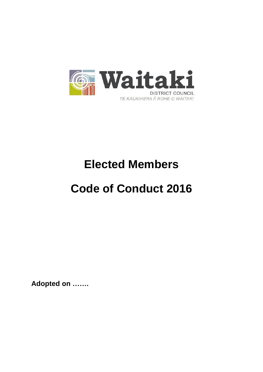

# **Elected Members**

# **Code of Conduct 2016**

**Adopted on …….**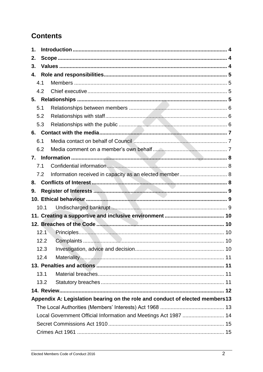# **Contents**

| 1.  |      |                                                                              |  |  |  |
|-----|------|------------------------------------------------------------------------------|--|--|--|
| 2.  |      |                                                                              |  |  |  |
| 3.  |      |                                                                              |  |  |  |
| 4.  |      |                                                                              |  |  |  |
| 4.1 |      |                                                                              |  |  |  |
|     | 4.2  |                                                                              |  |  |  |
|     |      |                                                                              |  |  |  |
| 5.1 |      |                                                                              |  |  |  |
|     | 5.2  |                                                                              |  |  |  |
|     | 5.3  |                                                                              |  |  |  |
|     |      |                                                                              |  |  |  |
| 6.1 |      |                                                                              |  |  |  |
|     | 6.2  |                                                                              |  |  |  |
|     |      |                                                                              |  |  |  |
| 7.1 |      |                                                                              |  |  |  |
|     | 7.2  | Information received in capacity as an elected member 8                      |  |  |  |
| 8.  |      |                                                                              |  |  |  |
| 9.  |      |                                                                              |  |  |  |
|     |      |                                                                              |  |  |  |
|     | 10.1 |                                                                              |  |  |  |
|     |      |                                                                              |  |  |  |
|     |      |                                                                              |  |  |  |
|     | 12.1 |                                                                              |  |  |  |
|     | 12.2 |                                                                              |  |  |  |
|     | 12.3 |                                                                              |  |  |  |
|     | 12.4 |                                                                              |  |  |  |
|     |      |                                                                              |  |  |  |
|     | 13.1 |                                                                              |  |  |  |
|     | 13.2 |                                                                              |  |  |  |
|     |      |                                                                              |  |  |  |
|     |      | Appendix A: Legislation bearing on the role and conduct of elected members13 |  |  |  |
|     |      |                                                                              |  |  |  |
|     |      | Local Government Official Information and Meetings Act 1987  14              |  |  |  |
|     |      |                                                                              |  |  |  |
|     |      |                                                                              |  |  |  |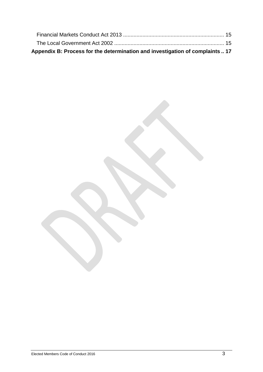| Appendix B: Process for the determination and investigation of complaints  17 |  |
|-------------------------------------------------------------------------------|--|
|                                                                               |  |
|                                                                               |  |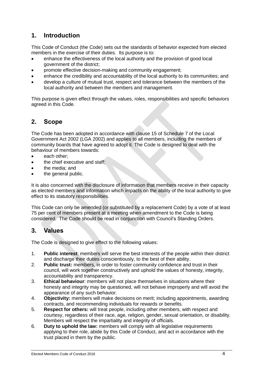# <span id="page-3-0"></span>**1. Introduction**

This Code of Conduct (the Code) sets out the standards of behavior expected from elected members in the exercise of their duties. Its purpose is to:

- enhance the effectiveness of the local authority and the provision of good local government of the district;
- promote effective decision-making and community engagement;
- enhance the credibility and accountability of the local authority to its communities; and
- develop a culture of mutual trust, respect and tolerance between the members of the local authority and between the members and management.

This purpose is given effect through the values, roles, responsibilities and specific behaviors agreed in this Code.

## <span id="page-3-1"></span>**2. Scope**

The Code has been adopted in accordance with clause 15 of Schedule 7 of the Local Government Act 2002 (LGA 2002) and applies to all members, including the members of community boards that have agreed to adopt it. The Code is designed to deal with the behaviour of members towards:

- each other:
- the chief executive and staff:
- the media; and
- the general public.

It is also concerned with the disclosure of information that members receive in their capacity as elected members and information which impacts on the ability of the local authority to give effect to its statutory responsibilities.

This Code can only be amended (or substituted by a replacement Code) by a vote of at least 75 per cent of members present at a meeting when amendment to the Code is being considered. The Code should be read in conjunction with Council's Standing Orders.

## <span id="page-3-2"></span>**3. Values**

The Code is designed to give effect to the following values:

- 1. **Public interest**: members will serve the best interests of the people within their district and discharge their duties conscientiously, to the best of their ability.
- 2. **Public trust:** members, in order to foster community confidence and trust in their council, will work together constructively and uphold the values of honesty, integrity, accountability and transparency.
- 3. **Ethical behaviour**: members will not place themselves in situations where their honesty and integrity may be questioned, will not behave improperly and will avoid the appearance of any such behavior.
- 4. **Objectivity:** members will make decisions on merit; including appointments, awarding contracts, and recommending individuals for rewards or benefits.
- 5. **Respect for others:** will treat people, including other members, with respect and courtesy, regardless of their race, age, religion, gender, sexual orientation, or disability. Members will respect the impartiality and integrity of officials.
- 6. **Duty to uphold the law:** members will comply with all legislative requirements applying to their role, abide by this Code of Conduct, and act in accordance with the trust placed in them by the public.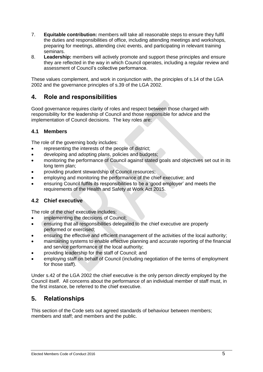- 7. **Equitable contribution:** members will take all reasonable steps to ensure they fulfil the duties and responsibilities of office, including attending meetings and workshops, preparing for meetings, attending civic events, and participating in relevant training seminars.
- 8. **Leadership:** members will actively promote and support these principles and ensure they are reflected in the way in which Council operates, including a regular review and assessment of Council's collective performance.

These values complement, and work in conjunction with, the principles of s.14 of the LGA 2002 and the governance principles of s.39 of the LGA 2002.

## <span id="page-4-0"></span>**4. Role and responsibilities**

Good governance requires clarity of roles and respect between those charged with responsibility for the leadership of Council and those responsible for advice and the implementation of Council decisions. The key roles are:

#### <span id="page-4-1"></span>**4.1 Members**

The role of the governing body includes:

- representing the interests of the people of district;
- developing and adopting plans, policies and budgets;
- monitoring the performance of Council against stated goals and objectives set out in its long term plan;
- providing prudent stewardship of Council resources;
- employing and monitoring the performance of the chief executive; and
- ensuring Council fulfils its responsibilities to be a 'good employer' and meets the requirements of the Health and Safety at Work Act 2015.

#### <span id="page-4-2"></span>**4.2 Chief executive**

The role of the chief executive includes:

- implementing the decisions of Council;
- ensuring that all responsibilities delegated to the chief executive are properly performed or exercised;
- ensuring the effective and efficient management of the activities of the local authority;
- maintaining systems to enable effective planning and accurate reporting of the financial and service performance of the local authority;
- providing leadership for the staff of Council; and
- employing staff on behalf of Council (including negotiation of the terms of employment for those staff).

Under s.42 of the LGA 2002 the chief executive is the only person *directly* employed by the Council itself. All concerns about the performance of an individual member of staff must, in the first instance, be referred to the chief executive.

# <span id="page-4-3"></span>**5. Relationships**

This section of the Code sets out agreed standards of behaviour between members; members and staff; and members and the public.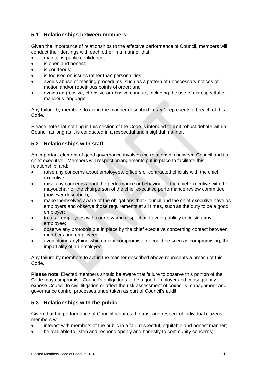#### <span id="page-5-0"></span>**5.1 Relationships between members**

Given the importance of relationships to the effective performance of Council, members will conduct their dealings with each other in a manner that:

- maintains public confidence;
- is open and honest;
- is courteous;
- is focused on issues rather than personalities;
- avoids abuse of meeting procedures, such as a pattern of unnecessary notices of motion and/or repetitious points of order; and
- avoids aggressive, offensive or abusive conduct, including the use of disrespectful or malicious language.

Any failure by members to act in the manner described in s.5.1 represents a breach of this Code.

Please note that nothing in this section of the Code is intended to limit robust debate within Council as long as it is conducted in a respectful and insightful manner.

#### <span id="page-5-1"></span>**5.2 Relationships with staff**

An important element of good governance involves the relationship between Council and its chief executive. Members will respect arrangements put in place to facilitate this relationship, and:

- raise any concerns about employees, officers or contracted officials with the chief executive;
- raise any concerns about the performance or behaviour of the chief executive with the mayor/chair or the chairperson of the chief executive performance review committee (however described);
- make themselves aware of the obligations that Council and the chief executive have as employers and observe those requirements at all times, such as the duty to be a good employer;
- treat all employees with courtesy and respect and avoid publicly criticising any employee;
- observe any protocols put in place by the chief executive concerning contact between members and employees;
- avoid doing anything which might compromise, or could be seen as compromising, the impartiality of an employee.

Any failure by members to act in the manner described above represents a breach of this Code.

**Please note**: Elected members should be aware that failure to observe this portion of the Code may compromise Council's obligations to be a good employer and consequently expose Council to civil litigation or affect the risk assessment of council's management and governance control processes undertaken as part of Council's audit.

#### <span id="page-5-2"></span>**5.3 Relationships with the public**

Given that the performance of Council requires the trust and respect of individual citizens, members will:

- interact with members of the public in a fair, respectful, equitable and honest manner;
- be available to listen and respond openly and honestly to community concerns;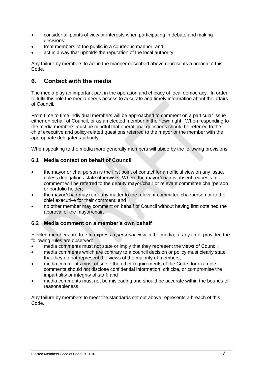- consider all points of view or interests when participating in debate and making decisions;
- treat members of the public in a courteous manner; and
- act in a way that upholds the reputation of the local authority.

Any failure by members to act in the manner described above represents a breach of this Code.

## <span id="page-6-0"></span>**6. Contact with the media**

The media play an important part in the operation and efficacy of local democracy. In order to fulfil this role the media needs access to accurate and timely information about the affairs of Council.

From time to time individual members will be approached to comment on a particular issue either on behalf of Council, or as an elected member in their own right. When responding to the media members must be mindful that operational questions should be referred to the chief executive and policy-related questions referred to the mayor or the member with the appropriate delegated authority.

When speaking to the media more generally members will abide by the following provisions.

#### <span id="page-6-1"></span>**6.1 Media contact on behalf of Council**

- the mayor or chairperson is the first point of contact for an official view on any issue, unless delegations state otherwise. Where the mayor/chair is absent requests for comment will be referred to the deputy mayor/chair or relevant committee chairperson or portfolio holder;
- the mayor/chair may refer any matter to the relevant committee chairperson or to the chief executive for their comment; and
- no other member may comment on behalf of Council without having first obtained the approval of the mayor/chair.

#### <span id="page-6-2"></span>**6.2 Media comment on a member's own behalf**

Elected members are free to express a *personal view* in the media, at any time, provided the following rules are observed:

- media comments must not state or imply that they represent the views of Council;
- media comments which are contrary to a council decision or policy must clearly state that they do not represent the views of the majority of members;
- media comments must observe the other requirements of the Code; for example, comments should not disclose confidential information, criticize, or compromise the impartiality or integrity of staff; and
- media comments must not be misleading and should be accurate within the bounds of reasonableness.

Any failure by members to meet the standards set out above represents a breach of this Code.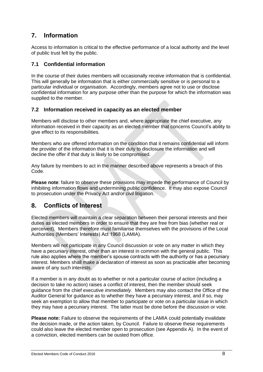# <span id="page-7-0"></span>**7. Information**

Access to information is critical to the effective performance of a local authority and the level of public trust felt by the public.

#### <span id="page-7-1"></span>**7.1 Confidential information**

In the course of their duties members will occasionally receive information that is confidential. This will generally be information that is either commercially sensitive or is personal to a particular individual or organisation. Accordingly, members agree not to use or disclose confidential information for any purpose other than the purpose for which the information was supplied to the member.

#### <span id="page-7-2"></span>**7.2 Information received in capacity as an elected member**

Members will disclose to other members and, where appropriate the chief executive, any information received in their capacity as an elected member that concerns Council's ability to give effect to its responsibilities.

Members who are offered information on the condition that it remains confidential will inform the provider of the information that it is their duty to disclosure the information and will decline the offer if that duty is likely to be compromised.

Any failure by members to act in the manner described above represents a breach of this Code.

**Please note**: failure to observe these provisions may impede the performance of Council by inhibiting information flows and undermining public confidence. It may also expose Council to prosecution under the Privacy Act and/or civil litigation.

# <span id="page-7-3"></span>**8. Conflicts of Interest**

Elected members will maintain a clear separation between their personal interests and their duties as elected members in order to ensure that they are free from bias (whether real or perceived). Members therefore must familiarise themselves with the provisions of the Local Authorities (Members' Interests) Act 1968 (LAMIA).

Members will not participate in any Council discussion or vote on any matter in which they have a pecuniary interest, other than an interest in common with the general public. This rule also applies where the member's spouse contracts with the authority or has a pecuniary interest. Members shall make a declaration of interest as soon as practicable after becoming aware of any such interests.

If a member is in any doubt as to whether or not a particular course of action (including a decision to take no action) raises a conflict of interest, then the member should seek guidance from the chief executive *immediately*. Members may also contact the Office of the Auditor General for guidance as to whether they have a pecuniary interest, and if so, may seek an exemption to allow that member to participate or vote on a particular issue in which they may have a pecuniary interest. The latter must be done before the discussion or vote.

**Please note:** Failure to observe the requirements of the LAMIA could potentially invalidate the decision made, or the action taken, by Council. Failure to observe these requirements could also leave the elected member open to prosecution (see Appendix A). In the event of a conviction, elected members can be ousted from office.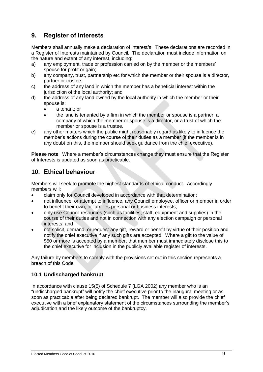# <span id="page-8-0"></span>**9. Register of Interests**

Members shall annually make a declaration of interest/s. These declarations are recorded in a Register of Interests maintained by Council. The declaration must include information on the nature and extent of any interest, including:

- a) any employment, trade or profession carried on by the member or the members' spouse for profit or gain;
- b) any company, trust, partnership etc for which the member or their spouse is a director, partner or trustee;
- c) the address of any land in which the member has a beneficial interest within the jurisdiction of the local authority; and
- d) the address of any land owned by the local authority in which the member or their spouse is:
	- a tenant; or
	- the land is tenanted by a firm in which the member or spouse is a partner, a company of which the member or spouse is a director, or a trust of which the member or spouse is a trustee.
- e) any other matters which the public might reasonably regard as likely to influence the member's actions during the course of their duties as a member (if the member is in any doubt on this, the member should seek guidance from the chief executive).

**Please note**: Where a member's circumstances change they must ensure that the Register of Interests is updated as soon as practicable.

# <span id="page-8-1"></span>**10. Ethical behaviour**

Members will seek to promote the highest standards of ethical conduct. Accordingly members will:

- claim only for Council developed in accordance with that determination;
- not influence, or attempt to influence, any Council employee, officer or member in order to benefit their own, or families personal or business interests;
- only use Council resources (such as facilities, staff, equipment and supplies) in the course of their duties and not in connection with any election campaign or personal interests; and
- not solicit, demand, or request any gift, reward or benefit by virtue of their position and notify the chief executive if any such gifts are accepted. Where a gift to the value of \$50 or more is accepted by a member, that member must immediately disclose this to the chief executive for inclusion in the publicly available register of interests.

Any failure by members to comply with the provisions set out in this section represents a breach of this Code.

#### <span id="page-8-2"></span>**10.1 Undischarged bankrupt**

In accordance with clause 15(5) of Schedule 7 (LGA 2002) any member who is an "undischarged bankrupt" will notify the chief executive prior to the inaugural meeting or as soon as practicable after being declared bankrupt. The member will also provide the chief executive with a brief explanatory statement of the circumstances surrounding the member's adjudication and the likely outcome of the bankruptcy.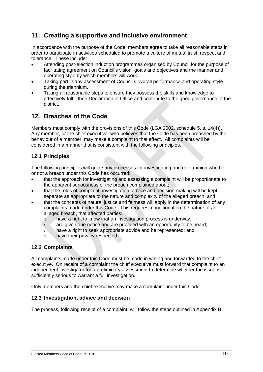# <span id="page-9-0"></span>**11. Creating a supportive and inclusive environment**

In accordance with the purpose of the Code, members agree to take all reasonable steps in order to participate in activities scheduled to promote a culture of mutual trust, respect and tolerance. These include:

- Attending post-election induction programmes organised by Council for the purpose of facilitating agreement on Council's vision, goals and objectives and the manner and operating style by which members will work.
- Taking part in any assessment of Council's overall performance and operating style during the triennium.
- Taking all reasonable steps to ensure they possess the skills and knowledge to effectively fulfill their Declaration of Office and contribute to the good governance of the district.

# <span id="page-9-1"></span>**12. Breaches of the Code**

Members must comply with the provisions of this Code (LGA 2002, schedule 5, s. 14(4)). Any member, or the chief executive, who believes that the Code has been breached by the behaviour of a member, may make a complaint to that effect. All complaints will be considered in a manner that is consistent with the following principles.

### <span id="page-9-2"></span>**12.1 Principles**

The following principles will guide any processes for investigating and determining whether or not a breach under this Code has occurred:

- that the approach for investigating and assessing a complaint will be proportionate to the apparent seriousness of the breach complained about;
- that the roles of complaint, investigation, advice and decision-making will be kept separate as appropriate to the nature and complexity of the alleged breach; and
- that the concepts of natural justice and fairness will apply in the determination of any complaints made under this Code. This requires, conditional on the nature of an alleged breach, that affected parties:
	- o have a right to know that an investigation process is underway;
	- o are given due notice and are provided with an opportunity to be heard;
	- o have a right to seek appropriate advice and be represented; and
	- o have their privacy respected.

#### <span id="page-9-3"></span>**12.2 Complaints**

All complaints made under this Code must be made in writing and forwarded to the chief executive. On receipt of a complaint the chief executive must forward that complaint to an independent investigator for a preliminary assessment to determine whether the issue is sufficiently serious to warrant a full investigation.

Only members and the chief executive may make a complaint under this Code.

#### <span id="page-9-4"></span>**12.3 Investigation, advice and decision**

The process, following receipt of a complaint, will follow the steps outlined in Appendix B.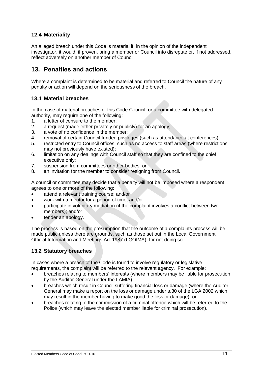### <span id="page-10-0"></span>**12.4 Materiality**

An alleged breach under this Code is material if, in the opinion of the independent investigator, it would, if proven, bring a member or Council into disrepute or, if not addressed, reflect adversely on another member of Council.

## <span id="page-10-1"></span>**13. Penalties and actions**

Where a complaint is determined to be material and referred to Council the nature of any penalty or action will depend on the seriousness of the breach.

#### <span id="page-10-2"></span>**13.1 Material breaches**

In the case of material breaches of this Code Council, or a committee with delegated authority, may require one of the following:

- 1. a letter of censure to the member;
- 2. a request (made either privately or publicly) for an apology;
- 3. a vote of no confidence in the member;
- 4. removal of certain Council-funded privileges (such as attendance at conferences);
- 5. restricted entry to Council offices, such as no access to staff areas (where restrictions may not previously have existed);
- 6. limitation on any dealings with Council staff so that they are confined to the chief executive only;
- 7. suspension from committees or other bodies; or
- 8. an invitation for the member to consider resigning from Council.

A council or committee may decide that a penalty will not be imposed where a respondent agrees to one or more of the following:

- attend a relevant training course; and/or
- work with a mentor for a period of time; and/or
- participate in voluntary mediation (if the complaint involves a conflict between two members); and/or
- tender an apology.

The process is based on the presumption that the outcome of a complaints process will be made public unless there are grounds, such as those set out in the Local Government Official Information and Meetings Act 1987 (LGOIMA), for not doing so.

#### <span id="page-10-3"></span>**13.2 Statutory breaches**

In cases where a breach of the Code is found to involve regulatory or legislative requirements, the complaint will be referred to the relevant agency. For example:

- breaches relating to members' interests (where members may be liable for prosecution by the Auditor-General under the LAMIA);
- breaches which result in Council suffering financial loss or damage (where the Auditor-General may make a report on the loss or damage under s.30 of the LGA 2002 which may result in the member having to make good the loss or damage); or
- breaches relating to the commission of a criminal offence which will be referred to the Police (which may leave the elected member liable for criminal prosecution).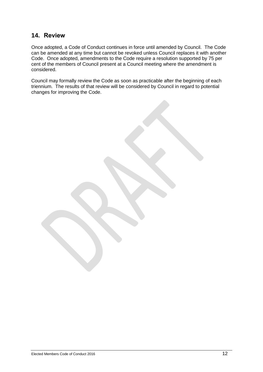## <span id="page-11-0"></span>**14. Review**

Once adopted, a Code of Conduct continues in force until amended by Council. The Code can be amended at any time but cannot be revoked unless Council replaces it with another Code. Once adopted, amendments to the Code require a resolution supported by 75 per cent of the members of Council present at a Council meeting where the amendment is considered.

Council may formally review the Code as soon as practicable after the beginning of each triennium. The results of that review will be considered by Council in regard to potential changes for improving the Code.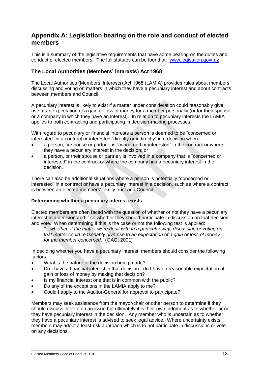## <span id="page-12-0"></span>**Appendix A: Legislation bearing on the role and conduct of elected members**

This is a summary of the legislative requirements that have some bearing on the duties and conduct of elected members. The full statutes can be found at: [www.legisation.govt.nz](http://www.legisation.govt.nz/)

#### <span id="page-12-1"></span>**The Local Authorities (Members' Interests) Act 1968**

The Local Authorities (Members' Interests) Act 1968 (LAMIA) provides rules about members discussing and voting on matters in which they have a pecuniary interest and about contracts between members and Council.

A pecuniary interest is likely to exist if a matter under consideration could reasonably give rise to an expectation of a gain or loss of money for a member personally (or for their spouse or a company in which they have an interest). In relation to pecuniary interests the LAMIA applies to both contracting and participating in decision-making processes.

With regard to pecuniary or financial interests a person is deemed to be "concerned or interested" in a contract or interested "directly or indirectly" in a decision when:

- a person, or spouse or partner, is "concerned or interested" in the contract or where they have a pecuniary interest in the decision; or
- a person, or their spouse or partner, is involved in a company that is "concerned or interested" in the contract or where the company has a pecuniary interest in the decision.

There can also be additional situations where a person is potentially "concerned or interested" in a contract or have a pecuniary interest in a decision, such as where a contract is between an elected members' family trust and Council.

#### **Determining whether a pecuniary interest exists**

Elected members are often faced with the question of whether or not they have a pecuniary interest in a decision and if so whether they should participate in discussion on that decision and vote. When determining if this is the case or not the following test is applied:

*"…whether, if the matter were dealt with in a particular way, discussing or voting on that matter could reasonably give rise to an expectation of a gain or loss of money for the member concerned."* (OAG, 2001)

In deciding whether you have a pecuniary interest, members should consider the following factors.

- What is the nature of the decision being made?
- Do I have a financial interest in that decision do I have a reasonable expectation of gain or loss of money by making that decision?
- Is my financial interest one that is in common with the public?
- Do any of the exceptions in the LAMIA apply to me?
- Could I apply to the Auditor-General for approval to participate?

Members may seek assistance from the mayor/chair or other person to determine if they should discuss or vote on an issue but ultimately it is their own judgment as to whether or not they have pecuniary interest in the decision. Any member who is uncertain as to whether they have a pecuniary interest is advised to seek legal advice. Where uncertainty exists members may adopt a least-risk approach which is to not participate in discussions or vote on any decisions.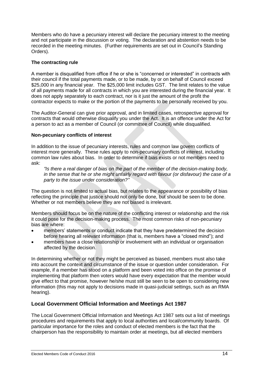Members who do have a pecuniary interest will declare the pecuniary interest to the meeting and not participate in the discussion or voting. The declaration and abstention needs to be recorded in the meeting minutes. (Further requirements are set out in Council's Standing Orders).

#### **The contracting rule**

A member is disqualified from office if he or she is "concerned or interested" in contracts with their council if the total payments made, or to be made, by or on behalf of Council exceed \$25,000 in any financial year. The \$25,000 limit includes GST. The limit relates to the value of all payments made for all contracts in which you are interested during the financial year. It does not apply separately to each contract, nor is it just the amount of the profit the contractor expects to make or the portion of the payments to be personally received by you.

The Auditor-General can give prior approval, and in limited cases, retrospective approval for contracts that would otherwise disqualify you under the Act. It is an offence under the Act for a person to act as a member of Council (or committee of Council) while disqualified.

#### **Non-pecuniary conflicts of interest**

In addition to the issue of pecuniary interests, rules and common law govern conflicts of interest more generally. These rules apply to non-pecuniary conflicts of interest, including common law rules about bias. In order to determine if bias exists or not members need to ask:

*"Is there a real danger of bias on the part of the member of the decision-making body, in the sense that he or she might unfairly regard with favour (or disfavour) the case of a party to the issue under consideration?"*

The question is not limited to actual bias, but relates to the appearance or possibility of bias reflecting the principle that justice should not only be done, but should be seen to be done. Whether or not members believe they are not biased is irrelevant.

Members should focus be on the nature of the conflicting interest or relationship and the risk it could pose for the decision-making process. The most common risks of non-pecuniary bias are where:

- members' statements or conduct indicate that they have predetermined the decision before hearing all relevant information (that is, members have a "closed mind"); and
- members have a close relationship or involvement with an individual or organisation affected by the decision.

In determining whether or not they might be perceived as biased, members must also take into account the context and circumstance of the issue or question under consideration. For example, if a member has stood on a platform and been voted into office on the promise of implementing that platform then voters would have every expectation that the member would give effect to that promise, however he/she must still be seen to be open to considering new information (this may not apply to decisions made in quasi-judicial settings, such as an RMA hearing).

#### <span id="page-13-0"></span>**Local Government Official Information and Meetings Act 1987**

The Local Government Official Information and Meetings Act 1987 sets out a list of meetings procedures and requirements that apply to local authorities and local/community boards. Of particular importance for the roles and conduct of elected members is the fact that the chairperson has the responsibility to maintain order at meetings, but all elected members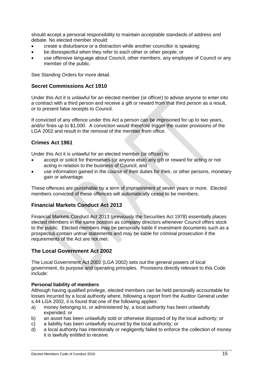should accept a personal responsibility to maintain acceptable standards of address and debate. No elected member should:

- create a disturbance or a distraction while another councillor is speaking;
- be disrespectful when they refer to each other or other people; or
- use offensive language about Council, other members, any employee of Council or any member of the public.

See Standing Orders for more detail.

#### <span id="page-14-0"></span>**Secret Commissions Act 1910**

Under this Act it is unlawful for an elected member (or officer) to advise anyone to enter into a contract with a third person and receive a gift or reward from that third person as a result, or to present false receipts to Council.

If convicted of any offence under this Act a person can be imprisoned for up to two years, and/or fines up to \$1,000. A conviction would therefore trigger the ouster provisions of the LGA 2002 and result in the removal of the member from office.

#### <span id="page-14-1"></span>**Crimes Act 1961**

Under this Act it is unlawful for an elected member (or officer) to:

- accept or solicit for themselves (or anyone else) any gift or reward for acting or not acting in relation to the business of Council; and
- use information gained in the course of their duties for their, or other persons, monetary gain or advantage.

These offences are punishable by a term of imprisonment of seven years or more. Elected members convicted of these offences will automatically cease to be members.

#### <span id="page-14-2"></span>**Financial Markets Conduct Act 2013**

Financial Markets Conduct Act 2013 (previously the Securities Act 1978) essentially places elected members in the same position as company directors whenever Council offers stock to the public. Elected members may be personally liable if investment documents such as a prospectus contain untrue statements and may be liable for criminal prosecution if the requirements of the Act are not met.

#### <span id="page-14-3"></span>**The Local Government Act 2002**

The Local Government Act 2002 (LGA 2002) sets out the general powers of local government, its purpose and operating principles. Provisions directly relevant to this Code include:

#### **Personal liability of members**

Although having qualified privilege, elected members can be held personally accountable for losses incurred by a local authority where, following a report from the Auditor General under s.44 LGA 2002, it is found that one of the following applies:

- a) money belonging to, or administered by, a local authority has been unlawfully expended; or
- b) an asset has been unlawfully sold or otherwise disposed of by the local authority; or
- c) a liability has been unlawfully incurred by the local authority; or
- d) a local authority has intentionally or negligently failed to enforce the collection of money it is lawfully entitled to receive.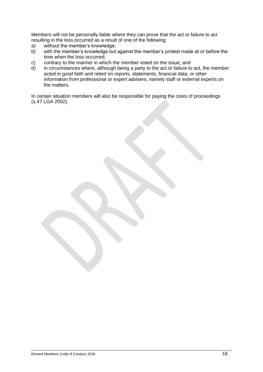Members will not be personally liable where they can prove that the act or failure to act resulting in the loss occurred as a result of one of the following:

- a) without the member's knowledge;<br>b) with the member's knowledge but
- with the member's knowledge but against the member's protest made at or before the time when the loss occurred;
- c) contrary to the manner in which the member voted on the issue; and
- d) in circumstances where, although being a party to the act or failure to act, the member acted in good faith and relied on reports, statements, financial data, or other information from professional or expert advisers, namely staff or external experts on the matters.

In certain situation members will also be responsible for paying the costs of proceedings (s.47 LGA 2002).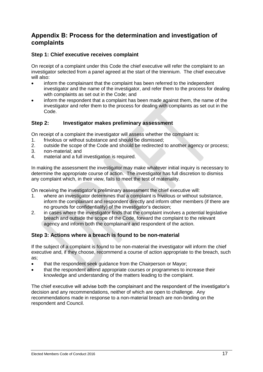## <span id="page-16-0"></span>**Appendix B: Process for the determination and investigation of complaints**

#### **Step 1: Chief executive receives complaint**

On receipt of a complaint under this Code the chief executive will refer the complaint to an investigator selected from a panel agreed at the start of the triennium. The chief executive will also:

- inform the complainant that the complaint has been referred to the independent investigator and the name of the investigator, and refer them to the process for dealing with complaints as set out in the Code; and
- inform the respondent that a complaint has been made against them, the name of the investigator and refer them to the process for dealing with complaints as set out in the Code.

#### **Step 2: Investigator makes preliminary assessment**

On receipt of a complaint the investigator will assess whether the complaint is:

- 1. frivolous or without substance and should be dismissed;
- 2. outside the scope of the Code and should be redirected to another agency or process;
- 3. non-material; and
- 4. material and a full investigation is required.

In making the assessment the investigator may make whatever initial inquiry is necessary to determine the appropriate course of action. The investigator has full discretion to dismiss any complaint which, in their view, fails to meet the test of materiality.

On receiving the investigator's preliminary assessment the chief executive will:

- 1. where an investigator determines that a complaint is frivolous or without substance, inform the complainant and respondent directly and inform other members (if there are no grounds for confidentiality) of the investigator's decision;
- 2. in cases where the investigator finds that the complaint involves a potential legislative breach and outside the scope of the Code, forward the complaint to the relevant agency and inform both the complainant and respondent of the action.

#### **Step 3: Actions where a breach is found to be non-material**

If the subject of a complaint is found to be non-material the investigator will inform the chief executive and, if they choose, recommend a course of action appropriate to the breach, such as;

- that the respondent seek guidance from the Chairperson or Mayor;
- that the respondent attend appropriate courses or programmes to increase their knowledge and understanding of the matters leading to the complaint.

The chief executive will advise both the complainant and the respondent of the investigator's decision and any recommendations, neither of which are open to challenge. Any recommendations made in response to a non-material breach are non-binding on the respondent and Council.